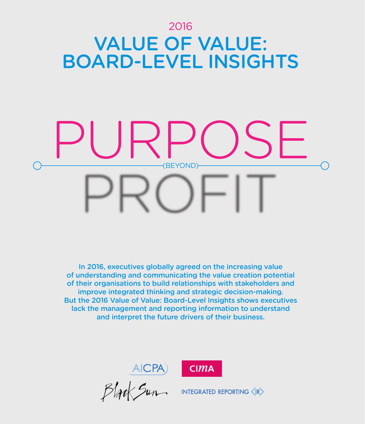# 2016 VALUE OF VALUE: BOARD-LEVEL INSIGHTS

# (BEYOND) PURPOSE

In 2016, executives globally agreed on the increasing value of understanding and communicating the value creation potential of their organisations to build relationships with stakeholders and improve integrated thinking and strategic decision-making. But the 2016 Value of Value: Board-Level Insights shows executives lack the management and reporting information to understand and interpret the future drivers of their business.



AICPA)

INTEGRATED REPORTING  $\langle$  IR $\rangle$ 

 $CIMA$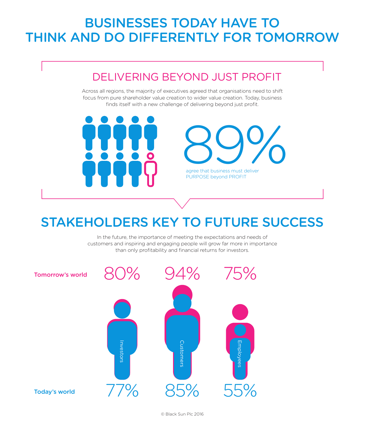# BUSINESSES TODAY HAVE TO THINK AND DO DIFFERENTLY FOR TOMORROW

# DELIVERING BEYOND JUST PROFIT

Across all regions, the majority of executives agreed that organisations need to shift focus from pure shareholder value creation to wider value creation. Today, business finds itself with a new challenge of delivering beyond just profit.



 $89\%$ agree that business must deliver

PURPOSE beyond PROFIT

# STAKEHOLDERS KEY TO FUTURE SUCCESS

In the future, the importance of meeting the expectations and needs of customers and inspiring and engaging people will grow far more in importance than only profitability and financial returns for investors.

© Black Sun Plc 2016

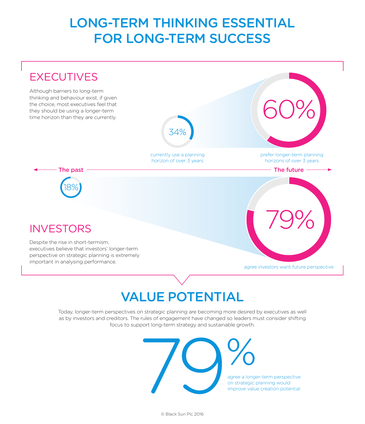# LONG-TERM THINKING ESSENTIAL FOR LONG-TERM SUCCESS

# **EXECUTIVES**

Although barriers to long-term thinking and behaviour exist, if given the choice, most executives feel that they should be using a longer-term time horizon than they are currently.



currently use a planning horizon of over 3 years

prefer longer-term planning horizons of over 3 years

60%

The past The future The future of the future of the future  $\sim$ 

## **INVESTORS**

18%

Despite the rise in short-termism, executives believe that investors' longer-term perspective on strategic planning is extremely important in analysing performance.

# 79%

agree investors want future perspective

# VALUE POTENTIAL

Today, longer-term perspectives on strategic planning are becoming more desired by executives as well as by investors and creditors. The rules of engagement have changed so leaders must consider shifting focus to support long-term strategy and sustainable growth.



agree a longer-term perspective on strategic planning would improve value creation potential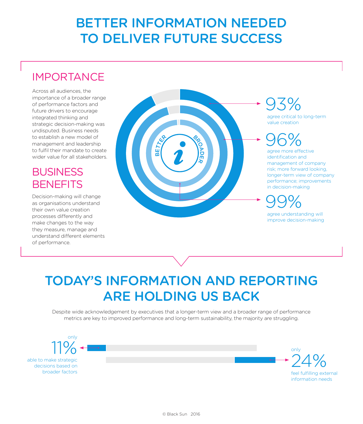# BETTER INFORMATION NEEDED TO DELIVER FUTURE SUCCESS

# IMPORTANCE

Across all audiences, the importance of a broader range of performance factors and future drivers to encourage integrated thinking and strategic decision-making was undisputed. Business needs to establish a new model of management and leadership to fulfil their mandate to create wider value for all stakeholders.

### **BUSINESS BENEFITS**

Decision-making will change as organisations understand their own value creation processes differently and make changes to the way they measure, manage and understand different elements of performance.



# 93%

agree critical to long-term value creation

# 96%

agree more effective identification and management of company risk; more forward looking, longer-term view of company performance; improvements in decision-making

99%

agree understanding will improve decision-making

# TODAY'S INFORMATION AND REPORTING ARE HOLDING US BACK

Despite wide acknowledgement by executives that a longer-term view and a broader range of performance metrics are key to improved performance and long-term sustainability, the majority are struggling.



able to make strategic decisions based on

broader factors feel fulfilling external information needs 24%

only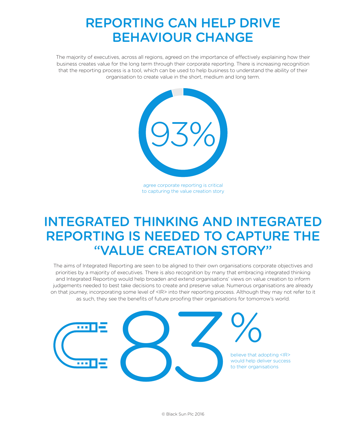# REPORTING CAN HELP DRIVE BEHAVIOUR CHANGE

The majority of executives, across all regions, agreed on the importance of effectively explaining how their business creates value for the long term through their corporate reporting. There is increasing recognition that the reporting process is a tool, which can be used to help business to understand the ability of their organisation to create value in the short, medium and long term.



agree corporate reporting is critical to capturing the value creation story

# INTEGRATED THINKING AND INTEGRATED REPORTING IS NEEDED TO CAPTURE THE "VALUE CREATION STORY"

The aims of Integrated Reporting are seen to be aligned to their own organisations corporate objectives and priorities by a majority of executives. There is also recognition by many that embracing integrated thinking and Integrated Reporting would help broaden and extend organisations' views on value creation to inform judgements needed to best take decisions to create and preserve value. Numerous organisations are already on that journey, incorporating some level of <IR> into their reporting process. Although they may not refer to it as such, they see the benefits of future proofing their organisations for tomorrow's world.



believe that adopting <IR> would help deliver success to their organisations